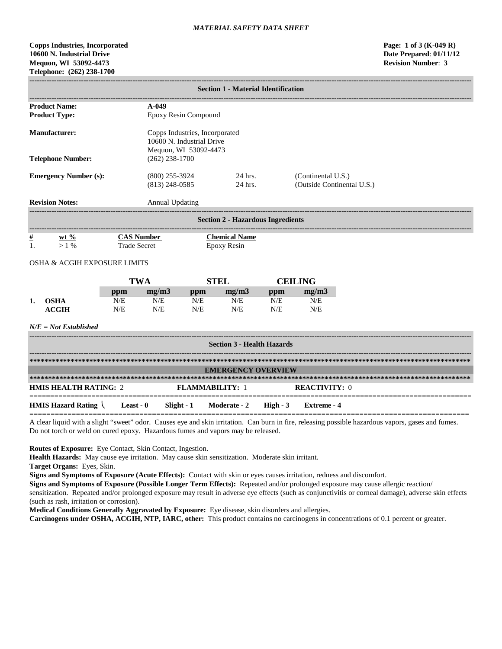# **Copps Industries, Incorporated Page: 1 of 3 (K-049 R) 10600 N. Industrial Drive Date Prepared**: **01/11/12 Mequon, WI 53092-4473 Telephone: (262) 238-1700**

|                      | <b>Section 1 - Material Identification</b>              |                     |                                      |                                                                                      |                                            |            |                                                  |  |
|----------------------|---------------------------------------------------------|---------------------|--------------------------------------|--------------------------------------------------------------------------------------|--------------------------------------------|------------|--------------------------------------------------|--|
|                      | <b>Product Name:</b><br>$A-049$<br><b>Product Type:</b> |                     |                                      | Epoxy Resin Compound                                                                 |                                            |            |                                                  |  |
| <b>Manufacturer:</b> |                                                         |                     |                                      | Copps Industries, Incorporated<br>10600 N. Industrial Drive<br>Mequon, WI 53092-4473 |                                            |            |                                                  |  |
|                      | <b>Telephone Number:</b>                                |                     | $(262)$ 238-1700                     |                                                                                      |                                            |            |                                                  |  |
|                      | <b>Emergency Number (s):</b>                            |                     | $(800)$ 255-3924<br>$(813)$ 248-0585 |                                                                                      | 24 hrs.<br>24 hrs.                         |            | (Continental U.S.)<br>(Outside Continental U.S.) |  |
|                      | <b>Revision Notes:</b>                                  |                     | <b>Annual Updating</b>               |                                                                                      |                                            |            |                                                  |  |
|                      |                                                         |                     |                                      |                                                                                      | <b>Section 2 - Hazardous Ingredients</b>   |            |                                                  |  |
| $\#$<br>1.           | wt $\frac{6}{6}$<br>$>1\%$                              | <b>Trade Secret</b> | <b>CAS Number</b>                    |                                                                                      | <b>Chemical Name</b><br><b>Epoxy Resin</b> |            |                                                  |  |
|                      | OSHA & ACGIH EXPOSURE LIMITS                            |                     |                                      |                                                                                      |                                            |            |                                                  |  |
|                      |                                                         |                     | <b>TWA</b>                           | <b>STEL</b>                                                                          |                                            |            | <b>CEILING</b>                                   |  |
|                      |                                                         | ppm                 | mg/m3                                | ppm                                                                                  | mg/m3                                      | ppm        | mg/m3                                            |  |
| 1.                   | <b>OSHA</b><br><b>ACGIH</b>                             | N/E<br>N/E          | N/E<br>N/E                           | N/E<br>N/E                                                                           | N/E<br>N/E                                 | N/E<br>N/E | N/E<br>N/E                                       |  |
|                      | $N/E = Not$ Established                                 |                     |                                      |                                                                                      |                                            |            |                                                  |  |
|                      |                                                         |                     |                                      |                                                                                      | <b>Section 3 - Health Hazards</b>          |            |                                                  |  |
|                      |                                                         |                     |                                      |                                                                                      | <b>EMERGENCY OVERVIEW</b>                  |            |                                                  |  |
|                      |                                                         |                     |                                      |                                                                                      |                                            |            |                                                  |  |
|                      | <b>HMIS HEALTH RATING: 2</b>                            |                     |                                      | <b>FLAMMABILITY: 1</b>                                                               |                                            |            | <b>REACTIVITY: 0</b>                             |  |
|                      | <b>HMIS Hazard Rating <math>\langle</math></b>          | Least - $0$         | Slight $-1$                          |                                                                                      | Moderate - 2                               | High $-3$  | <b>Extreme - 4</b>                               |  |

**========================================================================================================** A clear liquid with a slight "sweet" odor. Causes eye and skin irritation. Can burn in fire, releasing possible hazardous vapors, gases and fumes. Do not torch or weld on cured epoxy. Hazardous fumes and vapors may be released.

**Routes of Exposure:** Eye Contact, Skin Contact, Ingestion.

**Health Hazards:** May cause eye irritation. May cause skin sensitization. Moderate skin irritant.

**Target Organs:** Eyes, Skin.

**Signs and Symptoms of Exposure (Acute Effects):** Contact with skin or eyes causes irritation, redness and discomfort.

**Signs and Symptoms of Exposure (Possible Longer Term Effects):** Repeated and/or prolonged exposure may cause allergic reaction/ sensitization. Repeated and/or prolonged exposure may result in adverse eye effects (such as conjunctivitis or corneal damage), adverse skin effects (such as rash, irritation or corrosion).

**Medical Conditions Generally Aggravated by Exposure:** Eye disease, skin disorders and allergies.

**Carcinogens under OSHA, ACGIH, NTP, IARC, other:** This product contains no carcinogens in concentrations of 0.1 percent or greater.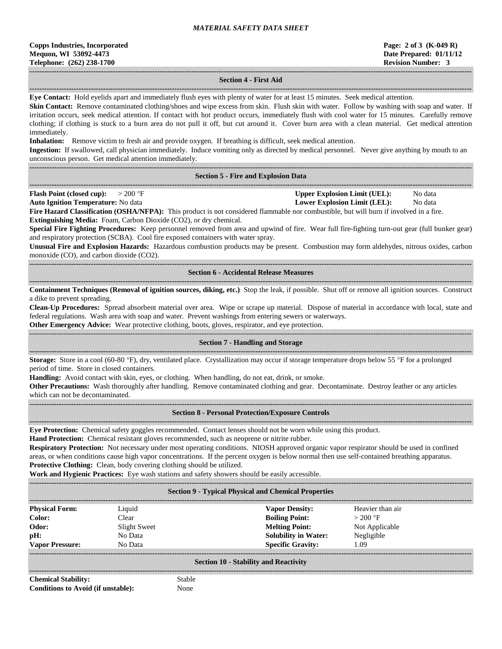## **------------------------------------------------------------------------------------------------------------------------------------------------------------------------------------ Section 4 - First Aid**

**------------------------------------------------------------------------------------------------------------------------------------------------------------------------------------**

**Eye Contact:** Hold eyelids apart and immediately flush eyes with plenty of water for at least 15 minutes. Seek medical attention.

**Skin Contact:** Remove contaminated clothing/shoes and wipe excess from skin. Flush skin with water. Follow by washing with soap and water. If irritation occurs, seek medical attention. If contact with hot product occurs, immediately flush with cool water for 15 minutes. Carefully remove clothing; if clothing is stuck to a burn area do not pull it off, but cut around it. Cover burn area with a clean material. Get medical attention immediately.

**Inhalation:** Remove victim to fresh air and provide oxygen. If breathing is difficult, seek medical attention.

**Ingestion:** If swallowed, call physician immediately. Induce vomiting only as directed by medical personnel. Never give anything by mouth to an unconscious person. Get medical attention immediately.

## **Section 5 - Fire and Explosion Data**

**------------------------------------------------------------------------------------------------------------------------------------------------------------------------------------ Flash Point (closed cup):**  $> 200 \text{ }^{\circ}\text{F}$  **Upper Explosion Limit (UEL):** No data

**Auto Ignition Temperature:** No data **Lower Explosion Limit (LEL):** No data

**------------------------------------------------------------------------------------------------------------------------------------------------------------------------------------**

**Fire Hazard Classification (OSHA/NFPA):** This product is not considered flammable nor combustible, but will burn if involved in a fire. **Extinguishing Media:** Foam, Carbon Dioxide (CO2), or dry chemical.

**Special Fire Fighting Procedures:** Keep personnel removed from area and upwind of fire. Wear full fire-fighting turn-out gear (full bunker gear) and respiratory protection (SCBA). Cool fire exposed containers with water spray.

**Unusual Fire and Explosion Hazards:** Hazardous combustion products may be present. Combustion may form aldehydes, nitrous oxides, carbon monoxide (CO), and carbon dioxide (CO2).

## **------------------------------------------------------------------------------------------------------------------------------------------------------------------------------------ Section 6 - Accidental Release Measures**

**------------------------------------------------------------------------------------------------------------------------------------------------------------------------------------ Containment Techniques (Removal of ignition sources, diking, etc.)** Stop the leak, if possible. Shut off or remove all ignition sources. Construct a dike to prevent spreading.

**Clean-Up Procedures:** Spread absorbent material over area. Wipe or scrape up material. Dispose of material in accordance with local, state and federal regulations. Wash area with soap and water. Prevent washings from entering sewers or waterways.

**Other Emergency Advice:** Wear protective clothing, boots, gloves, respirator, and eye protection.

#### ------------------------------------------------------------------------------------------------------------------------------------------------------------------------------------ **Section 7 - Handling and Storage**

**------------------------------------------------------------------------------------------------------------------------------------------------------------------------------------ Storage:** Store in a cool (60-80 °F), dry, ventilated place. Crystallization may occur if storage temperature drops below 55 °F for a prolonged period of time. Store in closed containers.

**Handling:** Avoid contact with skin, eyes, or clothing. When handling, do not eat, drink, or smoke.

**Other Precautions:** Wash thoroughly after handling. Remove contaminated clothing and gear. Decontaminate. Destroy leather or any articles which can not be decontaminated.

#### **Section 8 - Personal Protection/Exposure Controls**

**------------------------------------------------------------------------------------------------------------------------------------------------------------------------------------**

**Eye Protection:** Chemical safety goggles recommended. Contact lenses should not be worn while using this product.

**Hand Protection:** Chemical resistant gloves recommended, such as neoprene or nitrite rubber.

**Respiratory Protection:** Not necessary under most operating conditions. NIOSH approved organic vapor respirator should be used in confined areas, or when conditions cause high vapor concentrations. If the percent oxygen is below normal then use self-contained breathing apparatus. **Protective Clothing:** Clean, body covering clothing should be utilized.

**Work and Hygienic Practices:** Eye wash stations and safety showers should be easily accessible.

| <b>Section 9 - Typical Physical and Chemical Properties</b> |              |                             |                  |  |
|-------------------------------------------------------------|--------------|-----------------------------|------------------|--|
| <b>Physical Form:</b>                                       | Liquid       | <b>Vapor Density:</b>       | Heavier than air |  |
| Color:                                                      | Clear        | <b>Boiling Point:</b>       | $>200$ °F        |  |
| Odor:                                                       | Slight Sweet | <b>Melting Point:</b>       | Not Applicable   |  |
| pH:                                                         | No Data      | <b>Solubility in Water:</b> | Negligible       |  |
| <b>Vapor Pressure:</b>                                      | No Data      | <b>Specific Gravity:</b>    | 1.09             |  |
| <b>Section 10 - Stability and Reactivity</b>                |              |                             |                  |  |

**Chemical Stability:** Stable **Conditions to Avoid (if unstable):** None

**------------------------------------------------------------------------------------------------------------------------------------------------------------------------------------**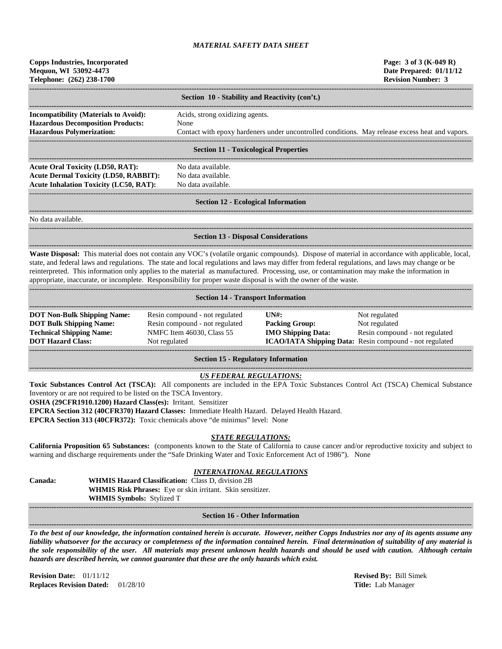| <b>Copps Industries, Incorporated</b><br>Mequon, WI 53092-4473<br>Telephone: (262) 238-1700                                                                                                                                                                                                                                                                                                                                                                                                                                                                             |                                                                                                                                                            |                                                                                                 | Page: 3 of 3 (K-049 R)<br>Date Prepared: 01/11/12<br><b>Revision Number: 3</b> |
|-------------------------------------------------------------------------------------------------------------------------------------------------------------------------------------------------------------------------------------------------------------------------------------------------------------------------------------------------------------------------------------------------------------------------------------------------------------------------------------------------------------------------------------------------------------------------|------------------------------------------------------------------------------------------------------------------------------------------------------------|-------------------------------------------------------------------------------------------------|--------------------------------------------------------------------------------|
|                                                                                                                                                                                                                                                                                                                                                                                                                                                                                                                                                                         | Section 10 - Stability and Reactivity (con't.)                                                                                                             |                                                                                                 |                                                                                |
| <b>Incompatibility (Materials to Avoid):</b>                                                                                                                                                                                                                                                                                                                                                                                                                                                                                                                            | Acids, strong oxidizing agents.                                                                                                                            |                                                                                                 |                                                                                |
| <b>Hazardous Decomposition Products:</b><br><b>Hazardous Polymerization:</b>                                                                                                                                                                                                                                                                                                                                                                                                                                                                                            | None                                                                                                                                                       |                                                                                                 |                                                                                |
|                                                                                                                                                                                                                                                                                                                                                                                                                                                                                                                                                                         |                                                                                                                                                            | Contact with epoxy hardeners under uncontrolled conditions. May release excess heat and vapors. |                                                                                |
|                                                                                                                                                                                                                                                                                                                                                                                                                                                                                                                                                                         | <b>Section 11 - Toxicological Properties</b>                                                                                                               |                                                                                                 |                                                                                |
| <b>Acute Oral Toxicity (LD50, RAT):</b>                                                                                                                                                                                                                                                                                                                                                                                                                                                                                                                                 | No data available.                                                                                                                                         |                                                                                                 |                                                                                |
| <b>Acute Dermal Toxicity (LD50, RABBIT):</b>                                                                                                                                                                                                                                                                                                                                                                                                                                                                                                                            | No data available.                                                                                                                                         |                                                                                                 |                                                                                |
| <b>Acute Inhalation Toxicity (LC50, RAT):</b>                                                                                                                                                                                                                                                                                                                                                                                                                                                                                                                           | No data available.                                                                                                                                         |                                                                                                 |                                                                                |
|                                                                                                                                                                                                                                                                                                                                                                                                                                                                                                                                                                         | <b>Section 12 - Ecological Information</b>                                                                                                                 |                                                                                                 |                                                                                |
| No data available.                                                                                                                                                                                                                                                                                                                                                                                                                                                                                                                                                      |                                                                                                                                                            |                                                                                                 |                                                                                |
|                                                                                                                                                                                                                                                                                                                                                                                                                                                                                                                                                                         | <b>Section 13 - Disposal Considerations</b>                                                                                                                |                                                                                                 |                                                                                |
| Waste Disposal: This material does not contain any VOC's (volatile organic compounds). Dispose of material in accordance with applicable, local,<br>state, and federal laws and regulations. The state and local regulations and laws may differ from federal regulations, and laws may change or be<br>reinterpreted. This information only applies to the material as manufactured. Processing, use, or contamination may make the information in<br>appropriate, inaccurate, or incomplete. Responsibility for proper waste disposal is with the owner of the waste. |                                                                                                                                                            |                                                                                                 |                                                                                |
|                                                                                                                                                                                                                                                                                                                                                                                                                                                                                                                                                                         | <b>Section 14 - Transport Information</b>                                                                                                                  |                                                                                                 |                                                                                |
| <b>DOT Non-Bulk Shipping Name:</b>                                                                                                                                                                                                                                                                                                                                                                                                                                                                                                                                      | Resin compound - not regulated                                                                                                                             | UN#                                                                                             | Not regulated                                                                  |
| <b>DOT Bulk Shipping Name:</b>                                                                                                                                                                                                                                                                                                                                                                                                                                                                                                                                          | Resin compound - not regulated                                                                                                                             | <b>Packing Group:</b>                                                                           | Not regulated                                                                  |
| <b>Technical Shipping Name:</b><br><b>DOT Hazard Class:</b>                                                                                                                                                                                                                                                                                                                                                                                                                                                                                                             | NMFC Item 46030, Class 55<br>Not regulated                                                                                                                 | <b>IMO Shipping Data:</b><br>ICAO/IATA Shipping Data: Resin compound - not regulated            | Resin compound - not regulated                                                 |
|                                                                                                                                                                                                                                                                                                                                                                                                                                                                                                                                                                         | <b>Section 15 - Regulatory Information</b>                                                                                                                 |                                                                                                 |                                                                                |
| Toxic Substances Control Act (TSCA): All components are included in the EPA Toxic Substances Control Act (TSCA) Chemical Substance<br>Inventory or are not required to be listed on the TSCA Inventory.<br>OSHA (29CFR1910.1200) Hazard Class(es): Irritant. Sensitizer<br>EPCRA Section 312 (40CFR370) Hazard Classes: Immediate Health Hazard. Delayed Health Hazard.<br>EPCRA Section 313 (40CFR372): Toxic chemicals above "de minimus" level: None                                                                                                                 | <b>US FEDERAL REGULATIONS:</b>                                                                                                                             |                                                                                                 |                                                                                |
| California Proposition 65 Substances: (components known to the State of California to cause cancer and/or reproductive toxicity and subject to<br>warning and discharge requirements under the "Safe Drinking Water and Toxic Enforcement Act of 1986"). None                                                                                                                                                                                                                                                                                                           | <b>STATE REGULATIONS:</b>                                                                                                                                  |                                                                                                 |                                                                                |
| Canada:<br>WHMIS Symbols: Stylized T                                                                                                                                                                                                                                                                                                                                                                                                                                                                                                                                    | <b>INTERNATIONAL REGULATIONS</b><br><b>WHMIS Hazard Classification:</b> Class D, division 2B<br>WHMIS Risk Phrases: Eye or skin irritant. Skin sensitizer. |                                                                                                 |                                                                                |
|                                                                                                                                                                                                                                                                                                                                                                                                                                                                                                                                                                         | <b>Section 16 - Other Information</b>                                                                                                                      |                                                                                                 |                                                                                |
| To the best of our knowledge, the information contained herein is accurate. However, neither Copps Industries nor any of its agents assume any<br>liability whatsoever for the accuracy or completeness of the information contained herein. Final determination of suitability of any material is                                                                                                                                                                                                                                                                      |                                                                                                                                                            |                                                                                                 |                                                                                |

*the sole responsibility of the user. All materials may present unknown health hazards and should be used with caution. Although certain hazards are described herein, we cannot guarantee that these are the only hazards which exist.*

**Revision Date:** 01/11/12 **Revised By:** Bill Simek **Replaces Revision Dated:** 01/28/10 **Title:** Lab Manager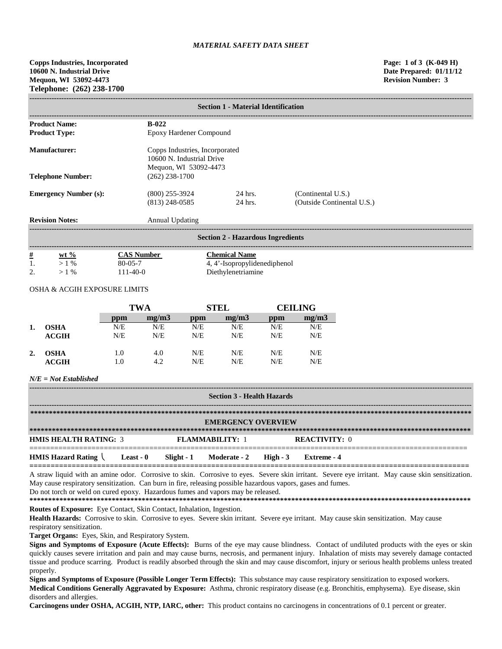**Copps Industries, Incorporated Page: 1 of 3 (K-049 H) 10600 N. Industrial Drive Date Prepared: 01/11/12 Mequon, WI 53092-4473 Revision Number: 3 Telephone: (262) 238-1700**

| <b>Section 1 - Material Identification</b> |                                                                                      |                                          |                                                  |  |
|--------------------------------------------|--------------------------------------------------------------------------------------|------------------------------------------|--------------------------------------------------|--|
| <b>Product Name:</b>                       | $B-022$                                                                              |                                          |                                                  |  |
| <b>Product Type:</b>                       |                                                                                      | Epoxy Hardener Compound                  |                                                  |  |
| Manufacturer:                              | Copps Industries, Incorporated<br>10600 N. Industrial Drive<br>Mequon, WI 53092-4473 |                                          |                                                  |  |
| <b>Telephone Number:</b>                   | $(262)$ 238-1700                                                                     |                                          |                                                  |  |
| <b>Emergency Number (s):</b>               | $(800)$ 255-3924<br>$(813)$ 248-0585                                                 | 24 hrs.<br>24 hrs.                       | (Continental U.S.)<br>(Outside Continental U.S.) |  |
| <b>Revision Notes:</b>                     | Annual Updating                                                                      |                                          |                                                  |  |
|                                            |                                                                                      | <b>Section 2 - Hazardous Ingredients</b> |                                                  |  |
| #<br>$W+$ $0/2$                            | $C_A \& \textbf{Number}$                                                             | Chamical Nama                            |                                                  |  |

| #<br>∸ | wt $\%$ | <b>CAS Number</b> | <b>Chemical Name</b>         |
|--------|---------|-------------------|------------------------------|
|        | $>1\%$  | $80 - 05 - 7$     | 4, 4'-Isopropylidenediphenol |
|        | $>1\%$  | $111 - 40 - 0$    | Diethylenetriamine           |

# OSHA & ACGIH EXPOSURE LIMITS

|    |                  | TWA |       | <b>STEL</b> |       | <b>CEILING</b> |       |
|----|------------------|-----|-------|-------------|-------|----------------|-------|
|    |                  | ppm | mg/m3 | ppm         | mg/m3 | ppm            | mg/m3 |
| 1. | <b>OSHA</b>      | N/E | N/E   | N/E         | N/E   | N/E            | N/E   |
|    | <b>ACGIH</b>     | N/E | N/E   | N/E         | N/E   | N/E            | N/E   |
| 2. | <b>OSHA</b>      | 1.0 | 4.0   | N/E         | N/E   | N/E            | N/E   |
|    | $\mathbf{ACGIH}$ | 1.0 | 4.2   | N/E         | N/E   | N/E            | N/E   |

# *N/E = Not Established*

| <b>Section 3 - Health Hazards</b>                             |  |  |                        |  |                      |
|---------------------------------------------------------------|--|--|------------------------|--|----------------------|
| <b>EMERGENCY OVERVIEW</b>                                     |  |  |                        |  |                      |
| <b>HMIS HEALTH RATING: 3</b>                                  |  |  | <b>FLAMMABILITY: 1</b> |  | <b>REACTIVITY: 0</b> |
| HMIS Hazard Rating Least - 0 Slight - 1 Moderate - 2 High - 3 |  |  |                        |  | Extreme - 4          |

A straw liquid with an amine odor. Corrosive to skin. Corrosive to eyes. Severe skin irritant. Severe eye irritant. May cause skin sensitization. May cause respiratory sensitization. Can burn in fire, releasing possible hazardous vapors, gases and fumes. Do not torch or weld on cured epoxy. Hazardous fumes and vapors may be released.

**\*\*\*\*\*\*\*\*\*\*\*\*\*\*\*\*\*\*\*\*\*\*\*\*\*\*\*\*\*\*\*\*\*\*\*\*\*\*\*\*\*\*\*\*\*\*\*\*\*\*\*\*\*\*\*\*\*\*\*\*\*\*\*\*\*\*\*\*\*\*\*\*\*\*\*\*\*\*\*\*\*\*\*\*\*\*\*\*\*\*\*\*\*\*\*\*\*\*\*\*\*\*\*\*\*\*\*\*\*\*\*\*\*\*\*\*\*\***

**Routes of Exposure:** Eye Contact, Skin Contact, Inhalation, Ingestion.

Health Hazards: Corrosive to skin. Corrosive to eyes. Severe skin irritant. Severe eye irritant. May cause skin sensitization. May cause respiratory sensitization.

**Target Organs:** Eyes, Skin, and Respiratory System.

**Signs and Symptoms of Exposure (Acute Effects):** Burns of the eye may cause blindness. Contact of undiluted products with the eyes or skin quickly causes severe irritation and pain and may cause burns, necrosis, and permanent injury. Inhalation of mists may severely damage contacted tissue and produce scarring. Product is readily absorbed through the skin and may cause discomfort, injury or serious health problems unless treated properly.

**Signs and Symptoms of Exposure (Possible Longer Term Effects):** This substance may cause respiratory sensitization to exposed workers. **Medical Conditions Generally Aggravated by Exposure:** Asthma, chronic respiratory disease (e.g. Bronchitis, emphysema). Eye disease, skin disorders and allergies.

**Carcinogens under OSHA, ACGIH, NTP, IARC, other:** This product contains no carcinogens in concentrations of 0.1 percent or greater.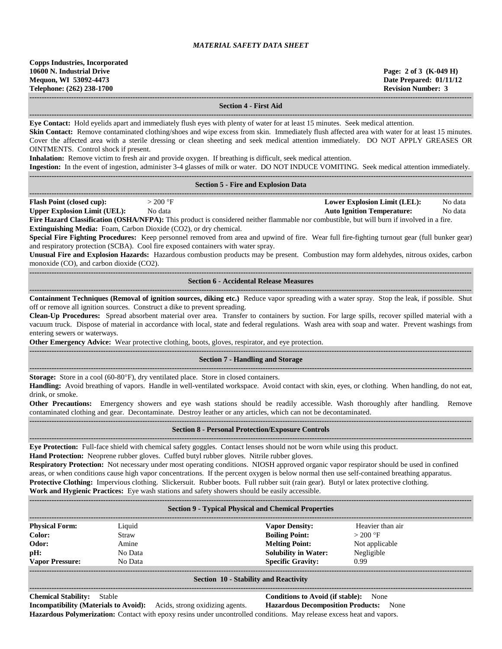**------------------------------------------------------------------------------------------------------------------------------------------------------------------------------------**

### **Section 4 - First Aid**

**------------------------------------------------------------------------------------------------------------------------------------------------------------------------------------ Eye Contact:** Hold eyelids apart and immediately flush eyes with plenty of water for at least 15 minutes. Seek medical attention.

**Skin Contact:** Remove contaminated clothing/shoes and wipe excess from skin. Immediately flush affected area with water for at least 15 minutes. Cover the affected area with a sterile dressing or clean sheeting and seek medical attention immediately. DO NOT APPLY GREASES OR OINTMENTS. Control shock if present.

**Inhalation:** Remove victim to fresh air and provide oxygen. If breathing is difficult, seek medical attention.

| <b>Ingestion:</b> In the event of ingestion, administer 3-4 glasses of milk or water. DO NOT INDUCE VOMITING. Seek medical attention immediately. |           |  |  |  |                                     |         |
|---------------------------------------------------------------------------------------------------------------------------------------------------|-----------|--|--|--|-------------------------------------|---------|
|                                                                                                                                                   |           |  |  |  |                                     |         |
| <b>Section 5 - Fire and Explosion Data</b>                                                                                                        |           |  |  |  |                                     |         |
|                                                                                                                                                   |           |  |  |  |                                     |         |
| <b>Flash Point (closed cup):</b>                                                                                                                  | $>200$ °F |  |  |  | <b>Lower Explosion Limit (LEL):</b> | No data |
| <b>Upper Explosion Limit (UEL):</b>                                                                                                               | No data   |  |  |  | <b>Auto Ignition Temperature:</b>   | No data |
| Fire Hazard Classification (OSHA/NFPA): This product is considered neither flammable nor combustible, but will burn if involved in a fire.        |           |  |  |  |                                     |         |
| <b>Extinguishing Media:</b> Foam, Carbon Dioxide (CO2), or dry chemical.                                                                          |           |  |  |  |                                     |         |
| Special Fire Fighting Procedures: Keep personnel removed from area and upwind of fire. Wear full fire-fighting turnout gear (full bunker gear)    |           |  |  |  |                                     |         |

and respiratory protection (SCBA). Cool fire exposed containers with water spray.

**Unusual Fire and Explosion Hazards:** Hazardous combustion products may be present. Combustion may form aldehydes, nitrous oxides, carbon monoxide (CO), and carbon dioxide (CO2). **------------------------------------------------------------------------------------------------------------------------------------------------------------------------------------**

#### **Section 6 - Accidental Release Measures**

**------------------------------------------------------------------------------------------------------------------------------------------------------------------------------------ Containment Techniques (Removal of ignition sources, diking etc.)** Reduce vapor spreading with a water spray. Stop the leak, if possible. Shut off or remove all ignition sources. Construct a dike to prevent spreading.

**Clean-Up Procedures:** Spread absorbent material over area. Transfer to containers by suction. For large spills, recover spilled material with a vacuum truck. Dispose of material in accordance with local, state and federal regulations. Wash area with soap and water. Prevent washings from entering sewers or waterways.

**Other Emergency Advice:** Wear protective clothing, boots, gloves, respirator, and eye protection. **------------------------------------------------------------------------------------------------------------------------------------------------------------------------------------**

# **Section 7 - Handling and Storage**

**------------------------------------------------------------------------------------------------------------------------------------------------------------------------------------ Storage:** Store in a cool (60-80°F), dry ventilated place. Store in closed containers.

**Handling:** Avoid breathing of vapors. Handle in well-ventilated workspace. Avoid contact with skin, eyes, or clothing. When handling, do not eat, drink, or smoke.

**Other Precautions:** Emergency showers and eye wash stations should be readily accessible. Wash thoroughly after handling. Remove contaminated clothing and gear. Decontaminate. Destroy leather or any articles, which can not be decontaminated.

# **Section 8 - Personal Protection/Exposure Controls**

**------------------------------------------------------------------------------------------------------------------------------------------------------------------------------------ Eye Protection:** Full-face shield with chemical safety goggles. Contact lenses should not be worn while using this product.

**------------------------------------------------------------------------------------------------------------------------------------------------------------------------------------**

**Hand Protection:** Neoprene rubber gloves. Cuffed butyl rubber gloves. Nitrile rubber gloves. **Respiratory Protection:** Not necessary under most operating conditions. NIOSH approved organic vapor respirator should be used in confined areas, or when conditions cause high vapor concentrations. If the percent oxygen is below normal then use self-contained breathing apparatus.

**Protective Clothing:** Impervious clothing. Slickersuit. Rubber boots. Full rubber suit (rain gear). Butyl or latex protective clothing. **Work and Hygienic Practices:** Eye wash stations and safety showers should be easily accessible.

| <b>WOLK and Hygieme Fractices:</b> Eye wash stations and safety showers should be easily accessible. |  |  |
|------------------------------------------------------------------------------------------------------|--|--|
|                                                                                                      |  |  |
|                                                                                                      |  |  |

| <b>Section 9 - Typical Physical and Chemical Properties</b> |         |                             |                  |  |
|-------------------------------------------------------------|---------|-----------------------------|------------------|--|
| <b>Physical Form:</b>                                       | Liquid  | <b>Vapor Density:</b>       | Heavier than air |  |
| Color:                                                      | Straw   | <b>Boiling Point:</b>       | $>200$ °F        |  |
| Odor:                                                       | Amine   | <b>Melting Point:</b>       | Not applicable   |  |
| pH:                                                         | No Data | <b>Solubility in Water:</b> | Negligible       |  |
| <b>Vapor Pressure:</b>                                      | No Data | <b>Specific Gravity:</b>    | 0.99             |  |
|                                                             |         |                             |                  |  |

#### **Section 10 - Stability and Reactivity**  $-1\leq i\leq n-1\leq n-1\leq n-1\leq n-1\leq n-1\leq n-1\leq n-1\leq n-1\leq n-1\leq n-1\leq n-1\leq n-1\leq n-1\leq n-1\leq n-1\leq n-1\leq n-1\leq n-1\leq n-1\leq n-1\leq n-1\leq n-1\leq n-1\leq n-1\leq n-1\leq n-1\leq n-1\leq n-1\leq n-1\leq n-1\leq n-1\leq n-1\leq n-1\leq n-1\leq n-1\leq n$

**Chemical Stability:** Stable **Conditions to Avoid (if stable):** None **Incompatibility (Materials to Avoid):** Acids, strong oxidizing agents. **Hazardous Decomposition Products:** None **Hazardous Polymerization:** Contact with epoxy resins under uncontrolled conditions. May release excess heat and vapors.